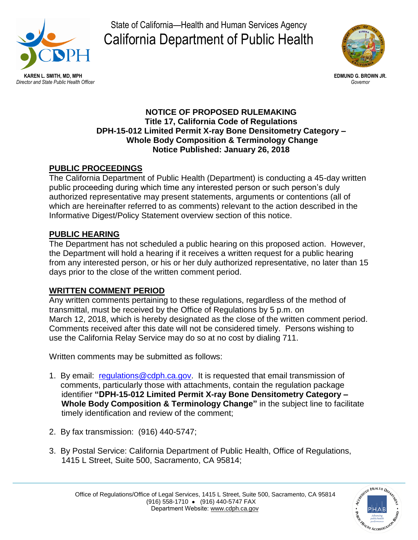

State of California—Health and Human Services Agency California Department of Public Health



**EDMUND G. BROWN JR.**  *Governor* 

#### **NOTICE OF PROPOSED RULEMAKING Title 17, California Code of Regulations DPH-15-012 Limited Permit X-ray Bone Densitometry Category – Whole Body Composition & Terminology Change Notice Published: January 26, 2018**

# **PUBLIC PROCEEDINGS**

The California Department of Public Health (Department) is conducting a 45-day written public proceeding during which time any interested person or such person's duly authorized representative may present statements, arguments or contentions (all of which are hereinafter referred to as comments) relevant to the action described in the Informative Digest/Policy Statement overview section of this notice.

#### **PUBLIC HEARING**

The Department has not scheduled a public hearing on this proposed action. However, the Department will hold a hearing if it receives a written request for a public hearing from any interested person, or his or her duly authorized representative, no later than 15 days prior to the close of the written comment period.

#### **WRITTEN COMMENT PERIOD**

Any written comments pertaining to these regulations, regardless of the method of transmittal, must be received by the Office of Regulations by 5 p.m. on March 12, 2018, which is hereby designated as the close of the written comment period. Comments received after this date will not be considered timely. Persons wishing to use the California Relay Service may do so at no cost by dialing 711.

Written comments may be submitted as follows:

- 1. By email: [regulations@cdph.ca.gov.](mailto:regulations@cdph.ca.gov) It is requested that email transmission of comments, particularly those with attachments, contain the regulation package identifier **"DPH-15-012 Limited Permit X-ray Bone Densitometry Category – Whole Body Composition & Terminology Change"** in the subject line to facilitate timely identification and review of the comment;
- 2. By fax transmission: (916) 440-5747;
- 3. By Postal Service: California Department of Public Health, Office of Regulations, 1415 L Street, Suite 500, Sacramento, CA 95814;

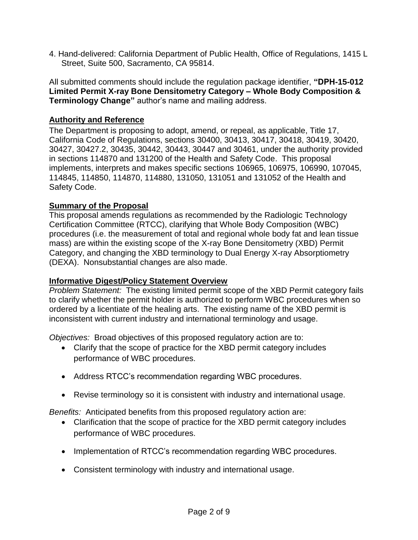4. Hand-delivered: California Department of Public Health, Office of Regulations, 1415 L Street, Suite 500, Sacramento, CA 95814.

All submitted comments should include the regulation package identifier, **"DPH-15-012 Limited Permit X-ray Bone Densitometry Category – Whole Body Composition & Terminology Change"** author's name and mailing address.

### **Authority and Reference**

The Department is proposing to adopt, amend, or repeal, as applicable, Title 17, California Code of Regulations, sections 30400, 30413, 30417, 30418, 30419, 30420, 30427, 30427.2, 30435, 30442, 30443, 30447 and 30461, under the authority provided in sections 114870 and 131200 of the Health and Safety Code. This proposal implements, interprets and makes specific sections 106965, 106975, 106990, 107045, 114845, 114850, 114870, 114880, 131050, 131051 and 131052 of the Health and Safety Code.

### **Summary of the Proposal**

This proposal amends regulations as recommended by the Radiologic Technology Certification Committee (RTCC), clarifying that Whole Body Composition (WBC) procedures (i.e. the measurement of total and regional whole body fat and lean tissue mass) are within the existing scope of the X-ray Bone Densitometry (XBD) Permit Category, and changing the XBD terminology to Dual Energy X-ray Absorptiometry (DEXA). Nonsubstantial changes are also made.

### **Informative Digest/Policy Statement Overview**

*Problem Statement:* The existing limited permit scope of the XBD Permit category fails to clarify whether the permit holder is authorized to perform WBC procedures when so ordered by a licentiate of the healing arts. The existing name of the XBD permit is inconsistent with current industry and international terminology and usage.

*Objectives:* Broad objectives of this proposed regulatory action are to:

- Clarify that the scope of practice for the XBD permit category includes performance of WBC procedures.
- Address RTCC's recommendation regarding WBC procedures.
- Revise terminology so it is consistent with industry and international usage.

*Benefits:* Anticipated benefits from this proposed regulatory action are:

- Clarification that the scope of practice for the XBD permit category includes performance of WBC procedures.
- Implementation of RTCC's recommendation regarding WBC procedures.
- Consistent terminology with industry and international usage.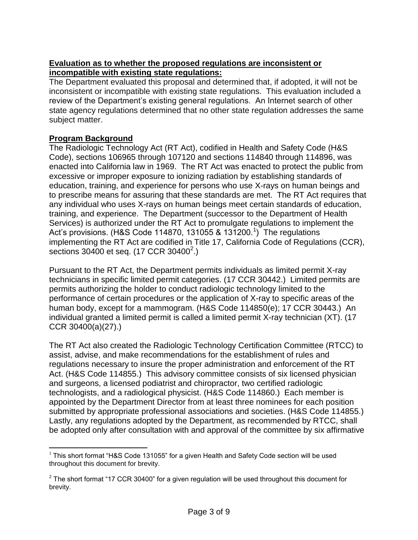### **Evaluation as to whether the proposed regulations are inconsistent or incompatible with existing state regulations:**

The Department evaluated this proposal and determined that, if adopted, it will not be inconsistent or incompatible with existing state regulations. This evaluation included a review of the Department's existing general regulations. An Internet search of other state agency regulations determined that no other state regulation addresses the same subject matter.

### **Program Background**

 $\overline{a}$ 

The Radiologic Technology Act (RT Act), codified in Health and Safety Code (H&S Code), sections 106965 through 107120 and sections 114840 through 114896, was enacted into California law in 1969. The RT Act was enacted to protect the public from excessive or improper exposure to ionizing radiation by establishing standards of education, training, and experience for persons who use X-rays on human beings and to prescribe means for assuring that these standards are met. The RT Act requires that any individual who uses X-rays on human beings meet certain standards of education, training, and experience. The Department (successor to the Department of Health Services) is authorized under the RT Act to promulgate regulations to implement the Act's provisions. (H&S Code 114870, 131055 & 131200.<sup>1</sup>) The regulations implementing the RT Act are codified in Title 17, California Code of Regulations (CCR), sections 30400 et seq.  $(17 \text{ CCR } 30400^2)$ 

Pursuant to the RT Act, the Department permits individuals as limited permit X-ray technicians in specific limited permit categories. (17 CCR 30442.) Limited permits are permits authorizing the holder to conduct radiologic technology limited to the performance of certain procedures or the application of X-ray to specific areas of the human body, except for a mammogram. (H&S Code 114850(e); 17 CCR 30443.) An individual granted a limited permit is called a limited permit X-ray technician (XT). (17 CCR 30400(a)(27).)

The RT Act also created the Radiologic Technology Certification Committee (RTCC) to assist, advise, and make recommendations for the establishment of rules and regulations necessary to insure the proper administration and enforcement of the RT Act. (H&S Code 114855.) This advisory committee consists of six licensed physician and surgeons, a licensed podiatrist and chiropractor, two certified radiologic technologists, and a radiological physicist. (H&S Code 114860.) Each member is appointed by the Department Director from at least three nominees for each position submitted by appropriate professional associations and societies. (H&S Code 114855.) Lastly, any regulations adopted by the Department, as recommended by RTCC, shall be adopted only after consultation with and approval of the committee by six affirmative

<sup>&</sup>lt;sup>1</sup> This short format "H&S Code 131055" for a given Health and Safety Code section will be used throughout this document for brevity.

 $2$  The short format "17 CCR 30400" for a given regulation will be used throughout this document for brevity.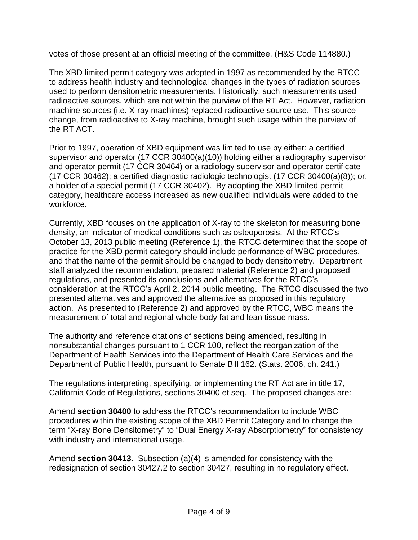votes of those present at an official meeting of the committee. (H&S Code 114880.)

The XBD limited permit category was adopted in 1997 as recommended by the RTCC to address health industry and technological changes in the types of radiation sources used to perform densitometric measurements. Historically, such measurements used radioactive sources, which are not within the purview of the RT Act. However, radiation machine sources (i.e. X-ray machines) replaced radioactive source use. This source change, from radioactive to X-ray machine, brought such usage within the purview of the RT ACT.

Prior to 1997, operation of XBD equipment was limited to use by either: a certified supervisor and operator (17 CCR 30400(a)(10)) holding either a radiography supervisor and operator permit (17 CCR 30464) or a radiology supervisor and operator certificate (17 CCR 30462); a certified diagnostic radiologic technologist (17 CCR 30400(a)(8)); or, a holder of a special permit (17 CCR 30402). By adopting the XBD limited permit category, healthcare access increased as new qualified individuals were added to the workforce.

Currently, XBD focuses on the application of X-ray to the skeleton for measuring bone density, an indicator of medical conditions such as osteoporosis. At the RTCC's October 13, 2013 public meeting (Reference 1), the RTCC determined that the scope of practice for the XBD permit category should include performance of WBC procedures, and that the name of the permit should be changed to body densitometry. Department staff analyzed the recommendation, prepared material (Reference 2) and proposed regulations, and presented its conclusions and alternatives for the RTCC's consideration at the RTCC's April 2, 2014 public meeting. The RTCC discussed the two presented alternatives and approved the alternative as proposed in this regulatory action. As presented to (Reference 2) and approved by the RTCC, WBC means the measurement of total and regional whole body fat and lean tissue mass.

The authority and reference citations of sections being amended, resulting in nonsubstantial changes pursuant to 1 CCR 100, reflect the reorganization of the Department of Health Services into the Department of Health Care Services and the Department of Public Health, pursuant to Senate Bill 162. (Stats. 2006, ch. 241.)

The regulations interpreting, specifying, or implementing the RT Act are in title 17, California Code of Regulations, sections 30400 et seq. The proposed changes are:

Amend **section 30400** to address the RTCC's recommendation to include WBC procedures within the existing scope of the XBD Permit Category and to change the term "X-ray Bone Densitometry" to "Dual Energy X-ray Absorptiometry" for consistency with industry and international usage.

Amend **section 30413**. Subsection (a)(4) is amended for consistency with the redesignation of section 30427.2 to section 30427, resulting in no regulatory effect.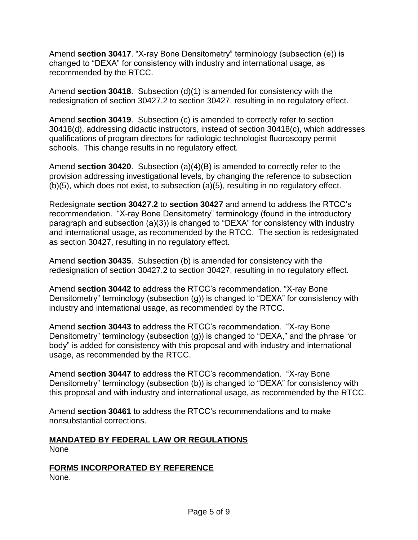Amend **section 30417**. "X-ray Bone Densitometry" terminology (subsection (e)) is changed to "DEXA" for consistency with industry and international usage, as recommended by the RTCC.

Amend **section 30418**. Subsection (d)(1) is amended for consistency with the redesignation of section 30427.2 to section 30427, resulting in no regulatory effect.

Amend **section 30419**. Subsection (c) is amended to correctly refer to section 30418(d), addressing didactic instructors, instead of section 30418(c), which addresses qualifications of program directors for radiologic technologist fluoroscopy permit schools. This change results in no regulatory effect.

Amend **section 30420**. Subsection (a)(4)(B) is amended to correctly refer to the provision addressing investigational levels, by changing the reference to subsection (b)(5), which does not exist, to subsection (a)(5), resulting in no regulatory effect.

Redesignate **section 30427.2** to **section 30427** and amend to address the RTCC's recommendation. "X-ray Bone Densitometry" terminology (found in the introductory paragraph and subsection (a)(3)) is changed to "DEXA" for consistency with industry and international usage, as recommended by the RTCC. The section is redesignated as section 30427, resulting in no regulatory effect.

Amend **section 30435**. Subsection (b) is amended for consistency with the redesignation of section 30427.2 to section 30427, resulting in no regulatory effect.

Amend **section 30442** to address the RTCC's recommendation. "X-ray Bone Densitometry" terminology (subsection (g)) is changed to "DEXA" for consistency with industry and international usage, as recommended by the RTCC.

Amend **section 30443** to address the RTCC's recommendation. "X-ray Bone Densitometry" terminology (subsection (g)) is changed to "DEXA," and the phrase "or body" is added for consistency with this proposal and with industry and international usage, as recommended by the RTCC.

Amend **section 30447** to address the RTCC's recommendation. "X-ray Bone Densitometry" terminology (subsection (b)) is changed to "DEXA" for consistency with this proposal and with industry and international usage, as recommended by the RTCC.

Amend **section 30461** to address the RTCC's recommendations and to make nonsubstantial corrections.

### **MANDATED BY FEDERAL LAW OR REGULATIONS**

None

**FORMS INCORPORATED BY REFERENCE**  None.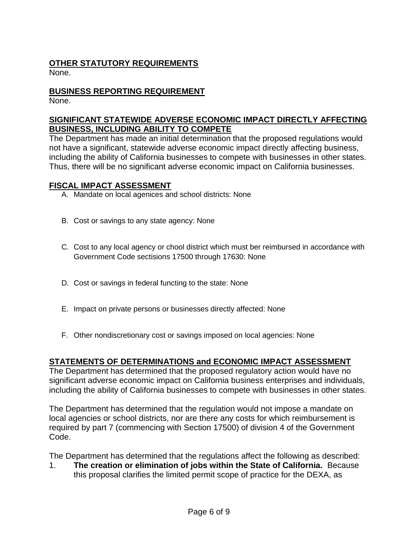## **OTHER STATUTORY REQUIREMENTS**

None.

### **BUSINESS REPORTING REQUIREMENT**

None.

#### **SIGNIFICANT STATEWIDE ADVERSE ECONOMIC IMPACT DIRECTLY AFFECTING BUSINESS, INCLUDING ABILITY TO COMPETE**

The Department has made an initial determination that the proposed regulations would not have a significant, statewide adverse economic impact directly affecting business, including the ability of California businesses to compete with businesses in other states. Thus, there will be no significant adverse economic impact on California businesses.

#### **FISCAL IMPACT ASSESSMENT**

- A. Mandate on local agenices and school districts: None
- B. Cost or savings to any state agency: None
- C. Cost to any local agency or chool district which must ber reimbursed in accordance with Government Code sectisions 17500 through 17630: None
- D. Cost or savings in federal functing to the state: None
- E. Impact on private persons or businesses directly affected: None
- F. Other nondiscretionary cost or savings imposed on local agencies: None

#### **STATEMENTS OF DETERMINATIONS and ECONOMIC IMPACT ASSESSMENT**

The Department has determined that the proposed regulatory action would have no significant adverse economic impact on California business enterprises and individuals, including the ability of California businesses to compete with businesses in other states.

The Department has determined that the regulation would not impose a mandate on local agencies or school districts, nor are there any costs for which reimbursement is required by part 7 (commencing with Section 17500) of division 4 of the Government Code.

The Department has determined that the regulations affect the following as described:

1. **The creation or elimination of jobs within the State of California.** Because this proposal clarifies the limited permit scope of practice for the DEXA, as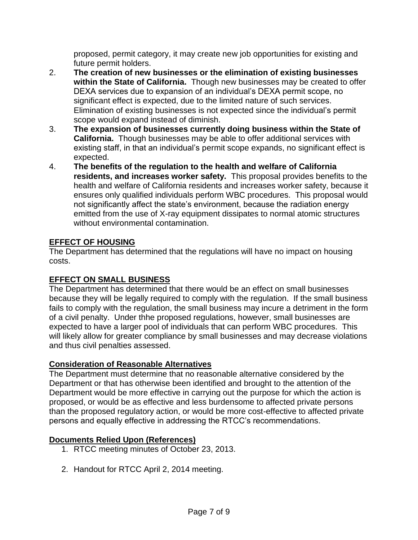proposed, permit category, it may create new job opportunities for existing and future permit holders.

- 2. **The creation of new businesses or the elimination of existing businesses within the State of California.** Though new businesses may be created to offer DEXA services due to expansion of an individual's DEXA permit scope, no significant effect is expected, due to the limited nature of such services. Elimination of existing businesses is not expected since the individual's permit scope would expand instead of diminish.
- 3. **The expansion of businesses currently doing business within the State of California.** Though businesses may be able to offer additional services with existing staff, in that an individual's permit scope expands, no significant effect is expected.
- 4. **The benefits of the regulation to the health and welfare of California residents, and increases worker safety.** This proposal provides benefits to the health and welfare of California residents and increases worker safety, because it ensures only qualified individuals perform WBC procedures. This proposal would not significantly affect the state's environment, because the radiation energy emitted from the use of X-ray equipment dissipates to normal atomic structures without environmental contamination.

# **EFFECT OF HOUSING**

The Department has determined that the regulations will have no impact on housing costs.

# **EFFECT ON SMALL BUSINESS**

The Department has determined that there would be an effect on small businesses because they will be legally required to comply with the regulation. If the small business fails to comply with the regulation, the small business may incure a detriment in the form of a civil penalty. Under thhe proposed regulations, however, small businesses are expected to have a larger pool of individuals that can perform WBC procedures. This will likely allow for greater compliance by small businesses and may decrease violations and thus civil penalties assessed.

### **Consideration of Reasonable Alternatives**

The Department must determine that no reasonable alternative considered by the Department or that has otherwise been identified and brought to the attention of the Department would be more effective in carrying out the purpose for which the action is proposed, or would be as effective and less burdensome to affected private persons than the proposed regulatory action, or would be more cost-effective to affected private persons and equally effective in addressing the RTCC's recommendations.

### **Documents Relied Upon (References)**

- 1. RTCC meeting minutes of October 23, 2013.
- 2. Handout for RTCC April 2, 2014 meeting.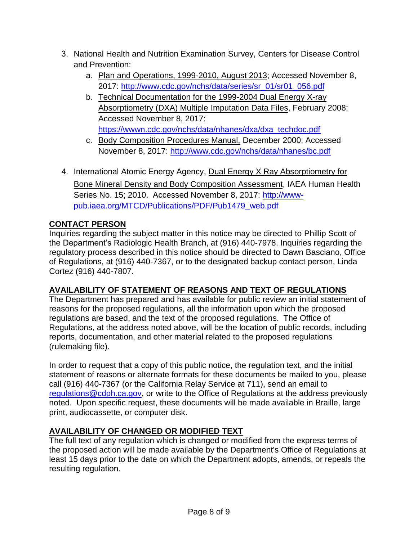- 3. National Health and Nutrition Examination Survey, Centers for Disease Control and Prevention:
	- a. [Plan and Operations, 1999-2010, August 2013](http://www.cdc.gov/nchs/data/series/sr_01/sr01_056.pdf); Accessed November 8, 2017: [http://www.cdc.gov/nchs/data/series/sr\\_01/sr01\\_056.pdf](http://www.cdc.gov/nchs/data/series/sr_01/sr01_056.pdf)
	- b. Technical Documentation for the 1999-2004 Dual Energy X-ray [Absorptiometry \(DXA\) Multiple Imputation Data Files, February 2008;](https://wwwn.cdc.gov/nchs/data/nhanes/dxa/dxa_techdoc.pdf) Accessed November 8, 2017: [https://wwwn.cdc.gov/nchs/data/nhanes/dxa/dxa\\_techdoc.pdf](https://wwwn.cdc.gov/nchs/data/nhanes/dxa/dxa_techdoc.pdf)
	- c. Body Composition Procedures Manual, December 2000; Accessed November 8, 2017:<http://www.cdc.gov/nchs/data/nhanes/bc.pdf>
- 4. [International Atomic Energy Agency, Dual Energy X Ray Absorptiometry for](http://www-
pub.iaea.org/MTCD/Publications/PDF/Pub1479_web.pdf) [Bone Mineral Density and Body Composition Assessment](http://www-
pub.iaea.org/MTCD/Publications/PDF/Pub1479_web.pdf), IAEA Human Health Series No. 15; 2010. Accessed November 8, 2017: [http://www](http://www-pub.iaea.org/MTCD/Publications/PDF/Pub1479_web.pdf)[pub.iaea.org/MTCD/Publications/PDF/Pub1479\\_web.pdf](http://www-pub.iaea.org/MTCD/Publications/PDF/Pub1479_web.pdf)

# **CONTACT PERSON**

Inquiries regarding the subject matter in this notice may be directed to Phillip Scott of the Department's Radiologic Health Branch, at (916) 440-7978. Inquiries regarding the regulatory process described in this notice should be directed to Dawn Basciano, Office of Regulations, at (916) 440-7367, or to the designated backup contact person, Linda Cortez (916) 440-7807.

# **AVAILABILITY OF STATEMENT OF REASONS AND TEXT OF REGULATIONS**

The Department has prepared and has available for public review an initial statement of reasons for the proposed regulations, all the information upon which the proposed regulations are based, and the text of the proposed regulations. The Office of Regulations, at the address noted above, will be the location of public records, including reports, documentation, and other material related to the proposed regulations (rulemaking file).

In order to request that a copy of this public notice, the regulation text, and the initial statement of reasons or alternate formats for these documents be mailed to you, please call (916) 440-7367 (or the California Relay Service at 711), send an email to [regulations@cdph.ca.gov,](mailto:regulations@cdph.ca.gov) or write to the Office of Regulations at the address previously noted. Upon specific request, these documents will be made available in Braille, large print, audiocassette, or computer disk.

# **AVAILABILITY OF CHANGED OR MODIFIED TEXT**

The full text of any regulation which is changed or modified from the express terms of the proposed action will be made available by the Department's Office of Regulations at least 15 days prior to the date on which the Department adopts, amends, or repeals the resulting regulation.